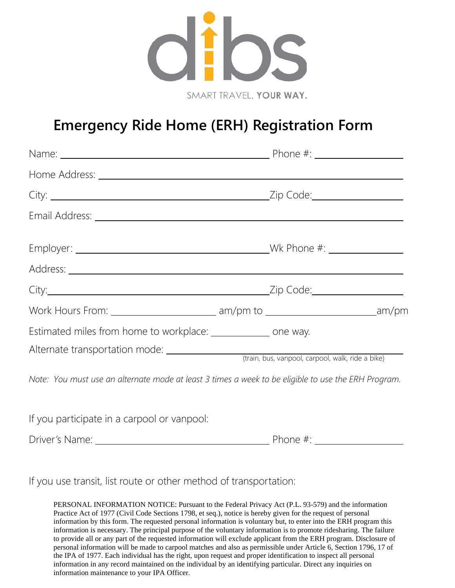

## **Emergency Ride Home (ERH) Registration Form**

| Estimated miles from home to workplace: ______________ one way. |                                                                                                     |
|-----------------------------------------------------------------|-----------------------------------------------------------------------------------------------------|
|                                                                 |                                                                                                     |
|                                                                 | Note: You must use an alternate mode at least 3 times a week to be eligible to use the ERH Program. |
| If you participate in a carpool or vanpool:                     |                                                                                                     |
|                                                                 |                                                                                                     |

If you use transit, list route or other method of transportation:

PERSONAL INFORMATION NOTICE: Pursuant to the Federal Privacy Act (P.L. 93-579) and the information Practice Act of 1977 (Civil Code Sections 1798, et seq.), notice is hereby given for the request of personal information by this form. The requested personal information is voluntary but, to enter into the ERH program this information is necessary. The principal purpose of the voluntary information is to promote ridesharing. The failure to provide all or any part of the requested information will exclude applicant from the ERH program. Disclosure of personal information will be made to carpool matches and also as permissible under Article 6, Section 1796, 17 of the IPA of 1977. Each individual has the right, upon request and proper identification to inspect all personal information in any record maintained on the individual by an identifying particular. Direct any inquiries on information maintenance to your IPA Officer.